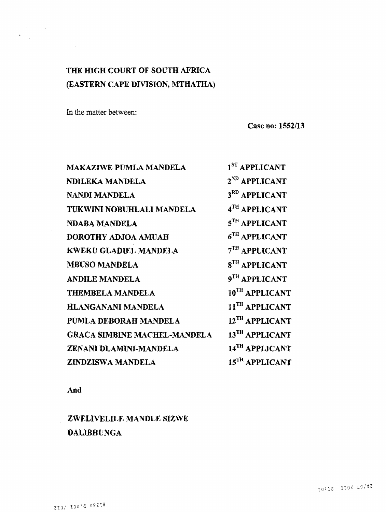# **THE HIGH COURT OF SOUTH AFRICA (EASTERN CAPE DIVISION, MTHATHA)**

In the matter between:

 $\label{eq:2.1} \frac{d\mathbf{y}}{d\mathbf{x}} = \frac{1}{2} \sum_{i=1}^n \frac{d\mathbf{y}}{d\mathbf{x}} \mathbf{y}_i \mathbf{y}_i \mathbf{y}_i \mathbf{y}_i$ 

 $\sim 10^{-1}$ 

 $\sim 10^{-1}$ 

 $\frac{1}{2} \left( \frac{1}{2} \right) \left( \frac{1}{2} \right)$ 

 $\mathcal{C}^{\pm}$ 

**Case no: 1552/13**

| <b>MAKAZIWE PUMLA MANDELA</b>       | <sup>1ST</sup> APPLICANT   |
|-------------------------------------|----------------------------|
| NDILEKA MANDELA                     | 2 <sup>ND</sup> APPLICANT  |
| NANDI MANDELA                       | 3 <sup>RD</sup> APPLICANT  |
| TUKWINI NOBUHLALI MANDELA           | 4TH APPLICANT              |
| NDABA MANDELA                       | 5TH APPLICANT              |
| DOROTHY ADJOA AMUAH                 | 6 <sup>TH</sup> APPLICANT  |
| KWEKU GLADIEL MANDELA               | $7TH$ APPLICANT            |
| <b>MBUSO MANDELA</b>                | 8 <sup>TH</sup> APPLICANT  |
| <b>ANDILE MANDELA</b>               | 9TH APPLICANT              |
| <b>THEMBELA MANDELA</b>             | 10TH APPLICANT             |
| <b>HLANGANANI MANDELA</b>           | 11 <sup>TH</sup> APPLICANT |
| PUMLA DEBORAH MANDELA               | 12TH APPLICANT             |
| <b>GRACA SIMBINE MACHEL-MANDELA</b> | 13TH APPLICANT             |
| ZENANI DLAMINI-MANDELA              | 14TH APPLICANT             |
| ZINDZISWA MANDELA                   | 15 <sup>TH</sup> APPLICANT |

**And**

**ZWELIVELILE MANDLE SIZWE DALIBHUNGA**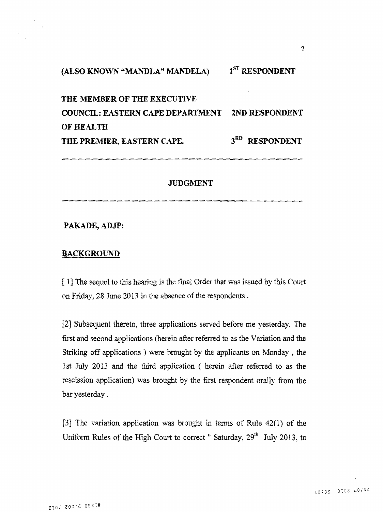**(ALSO KNOWN "MANDLA" MANDELA) 1st RESPONDENT**

**THE MEMBER OF THE EXECUTIVE COUNCIL: EASTERN CAPE DEPARTMENT 2ND RESPONDENT OF HEALTH THE PREMIER, EASTERN CAPE. 3rd RESPONDENT**

#### **JUDGMENT**

## **PAKADE, ADJP:**

## **BACKGROUND**

[ 1] The sequel to this hearing is the final Order that was issued by this Court on Friday, 2S June 2013 in the absence of the respondents .

[2] Subsequent thereto, three applications served before me yesterday. The first and second applications (herein after referred to as the Variation and the Striking off applications ) were brought by the applicants on Monday ; the 1st July 2013 and the third application ( herein after referred to as the rescission application) was brought by the first respondent orally from the bar yesterday.

[3] The variation application was brought in terms of Rule 42(1) of the Uniform Rules of the High Court to correct " Saturday,  $29<sup>th</sup>$  July 2013, to

*2*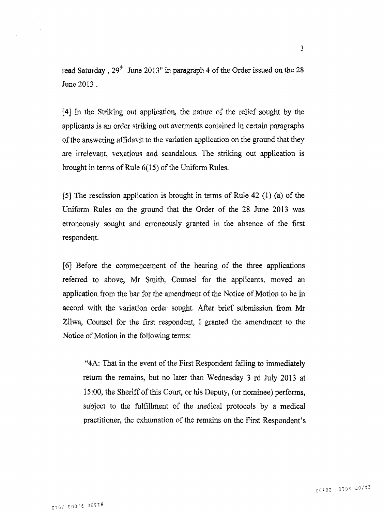read Saturday ,  $29<sup>th</sup>$  June 2013" in paragraph 4 of the Order issued on the 28 June 2013 .

[4] In the Striking out application, the nature of the relief sought by the applicants is an order striking out averments contained in certain paragraphs of the answering affidavit to the variation application on the ground that they are irrelevant, vexatious and scandalous. The striking out application is brought in tenns of Rule 6(15) of the Uniform Rules.

[5] The rescission application is brought in terms of Rule 42 (1) (a) of the Uniform Rules on the ground that the Order of the 28 June 2013 was erroneously sought and erroneously granted in the absence of the first respondent.

[6] Before the commencement of the hearing of the three applications referred to above, Mr Smith, Counsel for the applicants, moved an application from the bar for the amendment of the Notice of Motion to be in accord with the variation order sought. After brief submission from Mr Zilwa, Counsel for the first respondent, I granted the amendment to the Notice of Motion in the following terms;

"4A: That in the event of the First Respondent failing to immediately return the remains, but no later than Wednesday 3 rd July 2013 at 15:00, the Sheriff of this Court, or his Deputy, (or nominee) performs, subject to the fulfillment of the medical protocols by a medical practitioner, the exhumation of the remains on the First Respondent's

 $\mathcal{L}^{\mathcal{L}}$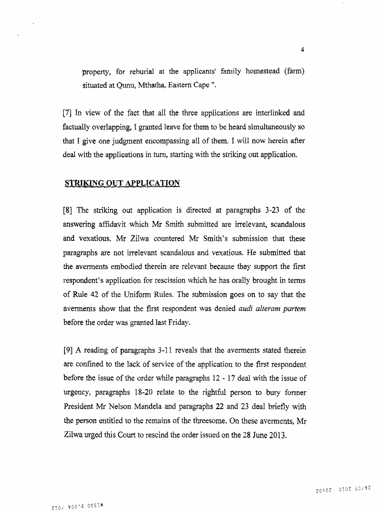property, for reburial at the applicants' family homestead (farm) situated at Qunu, Mthatha, Eastern Cape".

[7] In view of the fact that all the three applications are interlinked and factually overlapping, I granted leave for them to be heard simultaneously so that I give one judgment encompassing all of them. I will now herein after deal with the applications in turn, starting with the striking out application.

## **STRIKING OUT APPLICATION**

[8] The striking out application is directed at paragraphs 3-23 of the answering affidavit which Mr Smith submitted are irrelevant, scandalous and vexatious, Mr Zilwa countered Mr Smith's submission that these paragraphs are not irrelevant scandalous and vexatious. He submitted that the averments embodied therein are relevant because they support the first respondent's application for rescission which he has orally brought in terms of Rule 42 of the Uniform Rules. The submission goes on to say that the averments show that the first respondent was denied *andi alteram partem* before the order was granted last Friday.

[9] A reading of paragraphs 3-11 reveals that the averments stated therein are confined to the lack of service of the application to the first respondent, before the issue of the order while paragraphs 12-17 deal with the issue of urgency, paragraphs 18-20 relate to the rightful person to bury former President Mr Nelson Mandela and paragraphs 22 and 23 deal briefly with the person entitled to the remains of the threesome. On these averments, Mr Zilwa urged this Court to rescind the order issued on the 28 June 2013.

**4**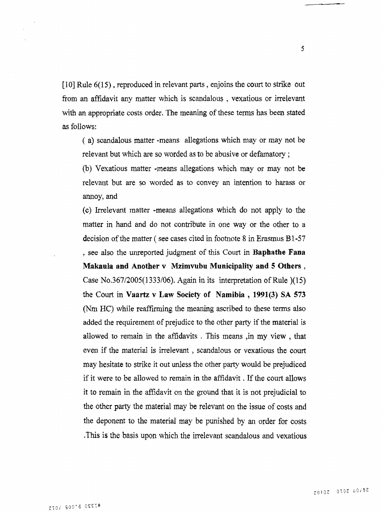$[10]$  Rule  $6(15)$ , reproduced in relevant parts, enjoins the court to strike out from an affidavit any matter which is scandalous, vexatious or irrelevant with an appropriate costs order. The meaning of these terms has been stated as follows:

( a) scandalous matter -means allegations which may or may not be relevant but which are so worded as to be abusive or defamatory;

(b) Vexatious matter -means allegations which may or may not be relevant but are so worded as to convey an intention to harass or annoy, and

(c) Irrelevant matter -means allegations which do not apply to the matter in hand and do not contribute in one way or the other to a decision of the matter ( see cases cited in footnote 8 in Erasmus Bl-57 ? see also the unreported judgment of this Court in **Baphathe Fana Makaula and Another v Mzimvubu Municipality and 5 Others ,** Case No.367/2005(1333/06). Again in its interpretation of Rule )(15) the Court in **Vaartz** v **Law Society of Namibia , 1991(3) SA 573** (Nm HC) while reaffirming the meaning ascribed to these terms also added the requirement of prejudice to the other party if the material is allowed to remain in the affidavits . This means ,in my view , that even if the material is irrelevant, scandalous or vexatious the court may hesitate to strike it out unless the other party would be prejudiced if it were to be allowed to remain in the affidavit. If the court allows it to remain in the affidavit on the ground that it is not prejudicial to the other party the material may be relevant on the issue of costs and the deponent to the material may be punished by an order for costs .This is the basis upon which the irrelevant scandalous and vexatious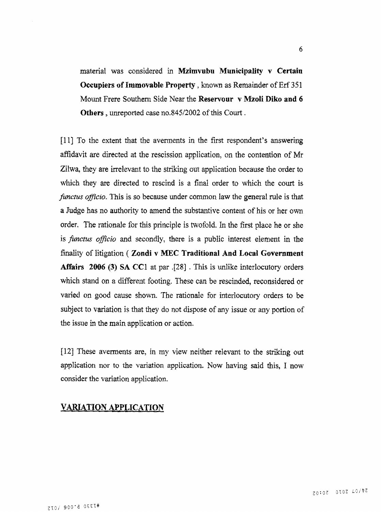material was considered in **Mzimvubu Municipality v Certain Occupiers of Immovable Property**, known as Remainder of Erf 351 Mount Frere Southern Side Near the **Reservour v Mzoli Diko and 6** Others, unreported case no.845/2002 of this Court.

[11] To the extent that the averments in the first respondent's answering affidavit are directed at the rescission application, on the contention of Mr Zilwa, they are irrelevant to the striking out application because the order to which they are directed to rescind is a final order to which the court is *functus officio*. This is so because under common law the general rule is that a Judge has no authority to amend the substantive content of his or her own order. The rationale for this principle is twofold. In the first place he or she is *functus officio* and secondly, there is a public interest element in the finality of litigation ( **Zondi v MEC Traditional And Local Government Affairs 2006 (3) SA CC1** at par .[28] . This is unlike interlocutory orders which stand on a different footing. These can be rescinded, reconsidered or varied on good cause shown. The rationale for interlocutory orders to be subject to variation is that they do not dispose of any issue or any portion of the issue in the main application or action.

[12] These averments are, in my view neither relevant to the striking out application nor to the variation application. Now having said this, I now consider the variation application.

## **VARIATION APPLICATION**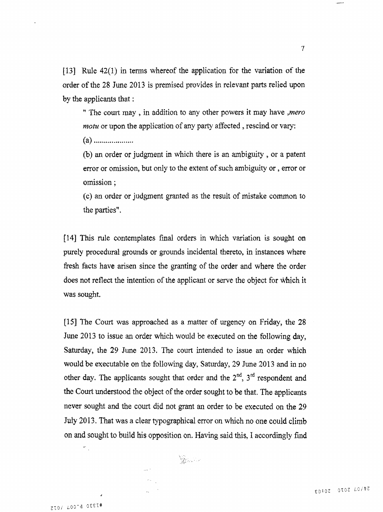[13] Rule 42(1) in terms whereof the application for the variation of the order of the 28 June 2013 is premised provides in relevant parts relied upon by the applicants that:

M The court may , in addition to any other powers it may have *jnero motu* or upon the application of any party affected, rescind or vary:

(a )

(b) an order or judgment in which there is an ambiguity , or a patent error or omission, but only to the extent of such ambiguity or, error or omission;

(c) an order or judgment granted as the result of mistake common to the parties".

[14] This rule contemplates final orders in which variation is sought on purely procedural grounds or grounds incidental thereto, in instances where fresh facts have arisen since the granting of the order and where the order does not reflect the intention of the applicant or serve the object for which it was sought,

[15] The Court was approached as a matter of urgency on Friday, the 28 June 2013 to issue an order which would be executed on the following day, Saturday, the 29 June 2013. The court intended to issue an order which would be executable on the following day, Saturday, 29 June 2013 and in no other day. The applicants sought that order and the  $2<sup>nd</sup>$ ,  $3<sup>rd</sup>$  respondent and the Court understood the object of the order sought to be that. The applicants never sought and the court did not grant an order to be executed on the 29 July 2013. That was a clear typographical error on which no one could climb on and sought to build his opposition on. Having said this, I accordingly find

ZIO/ LOO'd OEET#

 $\frac{1}{\sqrt{2}}$ 

 $\tau$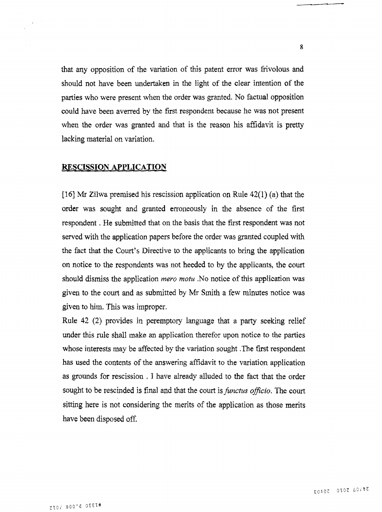that any opposition of the variation of this patent error was frivolous and should not have been undertaken in the light of the clear intention of the parties who were present when the order was granted. No factual opposition could have been averred by the first respondent because he was not present when the order was granted and that is the reason his affidavit is pretty lacking material on variation.

#### **RESCISSION APPLICATION**

[16] Mr Zilwa premised his rescission application on Rule 42(1) (a) that the order was sought and granted erroneously in the absence of the first respondent. He submitted that on the basis that the first respondent was not served with the application papers before the order was granted coupled with the fact that the Court's Directive to the applicants to bring the application on notice to the respondents was not heeded to by the applicants, the court should dismiss the application *mero motu* .No notice of this application was given to the court and as submitted by Mr Smith a few minutes notice was given to him. This was improper.

Rule 42 (2) provides in peremptory language that a party seeking relief under this rule shall make an application therefor upon notice to the parties whose interests may be affected by the variation sought .The first respondent has used the contents of the answering affidavit to the variation application as grounds for rescission , I have already alluded to the fact that the order sought to be rescinded is final and that the court is *functus officio*. The court sitting here is not considering the merits of the application as those merits have been disposed off.

**8**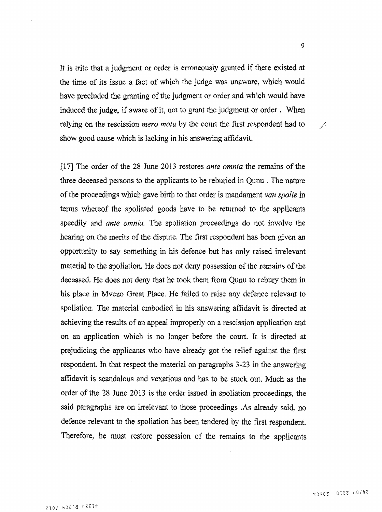It is trite that a judgment or order is erroneously granted if there existed at the time of its issue a fact of which the judge was unaware, which would have precluded the granting of the judgment or order and which would have induced the judge, if aware of it, not to grant the judgment or order . When relying on the rescission *mero motu* by the court the first respondent had to show good cause which is lacking in his answering affidavit.

[17] The order of the 28 June 2013 restores *ante omnia* the remains of the three deceased persons to the applicants to be reburied in Qunu . The nature of the proceedings which gave birth to that order is mandament *van spolie* in terms whereof the spoliated goods have to be returned to the applicants speedily and *ante omnia.* The spoliation proceedings do not involve the hearing on the merits of the dispute. The first respondent has been given an opportunity to say something in his defence but has only raised irrelevant material to the spoliation. He does not deny possession of the remains of the deceased. He does not deny that he took them from Qunu to rebury them in his place in Mvezo Great Place. He failed to raise any defence relevant to spoliation. The material embodied in his answering affidavit is directed at achieving the results of an appeal improperly on a rescission application and on an application which is no longer before the court. It is directed at prejudicing the applicants who have already got the relief against the first respondent. In that respect the material on paragraphs 3-23 in the answering affidavit is scandalous and vexatious and has to be stuck out. Much as the order of the 28 June 2013 is the order issued in spoliation proceedings, the said paragraphs are on irrelevant to those proceedings .As already said, no defence relevant to the spoliation has been tendered by the first respondent. Therefore, he must restore possession of the remains to the applicants

**9**

 $\nu$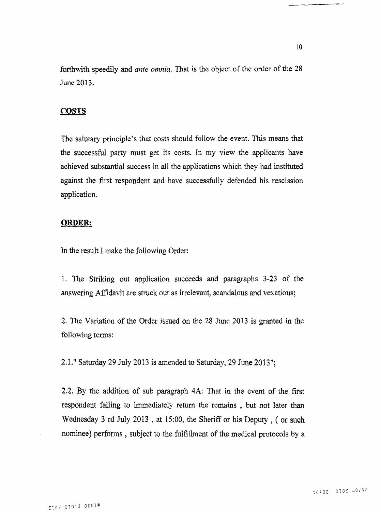forthwith speedily and *ante omnia*. That is the object of the order of the 28 June 2013.

#### **COSTS**

The salutary principle's that costs should follow the event. This means that the successful party must get its costs. In my view the applicants have achieved substantial success in all the applications which they had instituted against the first respondent and have successfully defended his rescission application.

#### **ORDER:**

In the result I make the following Order:

1. The Striking out application succeeds and paragraphs 3-23 of the answering Affidavit are struck out as irrelevant, scandalous and vexatious;

2. The Variation of the Order issued on the 28 June 2013 is granted in the following terms:

2.1." Saturday 29 July 2013 is amended to Saturday, 29 June 2013";

2.2. By the addition of sub paragraph 4A: That in the event of the first respondent failing to immediately return the remains, but not later than Wednesday 3 rd July 2013 , at 15:00, the Sheriff or his Deputy , ( or such nominee) performs , subject to the fulfillment of the medical protocols by a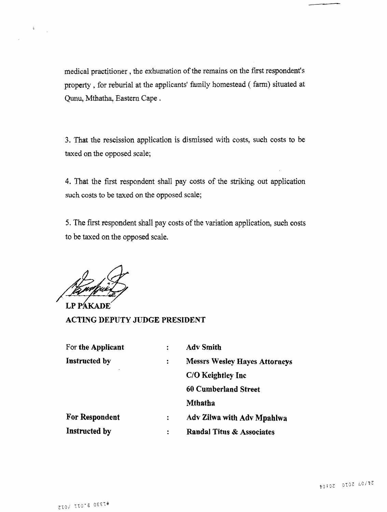medical practitioner, the exhumation of the remains on the first respondent's property , for reburial at the applicants' family homestead ( farm) situated at Qunu, Mthatha, Eastern Cape .

3. That the rescission application is dismissed with costs, such costs to be taxed on the opposed scale;

4. That the first respondent shall pay costs of the striking out application such costs to be taxed on the opposed scale;

5. The first respondent shall pay costs of the variation application, such costs to be taxed on the opposed scale.

LP PAKA

 $\ddot{\phantom{a}}$ 

**ACTING DEPUTY JUDGE PRESIDENT**

| For the Applicant |   | <b>Adv Smith</b>                     |
|-------------------|---|--------------------------------------|
| Instructed by     | ÷ | <b>Messrs Wesley Hayes Attorneys</b> |
|                   |   | C/O Keightley Inc                    |
|                   |   | 60 Cumberland Street                 |
|                   |   | Mthatha                              |
| For Respondent    | ÷ | Adv Zilwa with Adv Mpahlwa           |
| Instructed by     | ÷ | Randal Titus & Associates            |